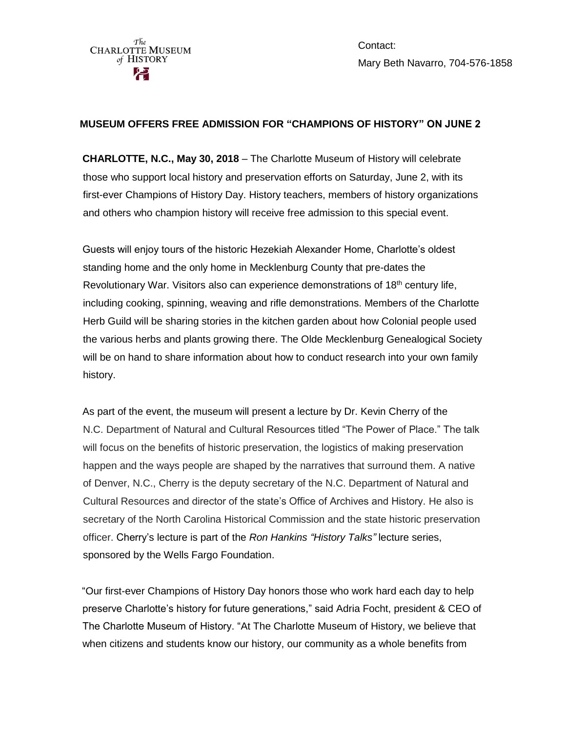Contact: Mary Beth Navarro, 704-576-1858

## **MUSEUM OFFERS FREE ADMISSION FOR "CHAMPIONS OF HISTORY" ON JUNE 2**

**CHARLOTTE, N.C., May 30, 2018** – The Charlotte Museum of History will celebrate those who support local history and preservation efforts on Saturday, June 2, with its first-ever Champions of History Day. History teachers, members of history organizations and others who champion history will receive free admission to this special event.

Guests will enjoy tours of the historic Hezekiah Alexander Home, Charlotte's oldest standing home and the only home in Mecklenburg County that pre-dates the Revolutionary War. Visitors also can experience demonstrations of 18<sup>th</sup> century life, including cooking, spinning, weaving and rifle demonstrations. Members of the Charlotte Herb Guild will be sharing stories in the kitchen garden about how Colonial people used the various herbs and plants growing there. The Olde Mecklenburg Genealogical Society will be on hand to share information about how to conduct research into your own family history.

As part of the event, the museum will present a lecture by Dr. Kevin Cherry of the N.C. Department of Natural and Cultural Resources titled "The Power of Place." The talk will focus on the benefits of historic preservation, the logistics of making preservation happen and the ways people are shaped by the narratives that surround them. A native of Denver, N.C., Cherry is the deputy secretary of the N.C. Department of Natural and Cultural Resources and director of the state's Office of Archives and History. He also is secretary of the North Carolina Historical Commission and the state historic preservation officer. Cherry's lecture is part of the *Ron Hankins "History Talks"* lecture series, sponsored by the Wells Fargo Foundation.

"Our first-ever Champions of History Day honors those who work hard each day to help preserve Charlotte's history for future generations," said Adria Focht, president & CEO of The Charlotte Museum of History. "At The Charlotte Museum of History, we believe that when citizens and students know our history, our community as a whole benefits from